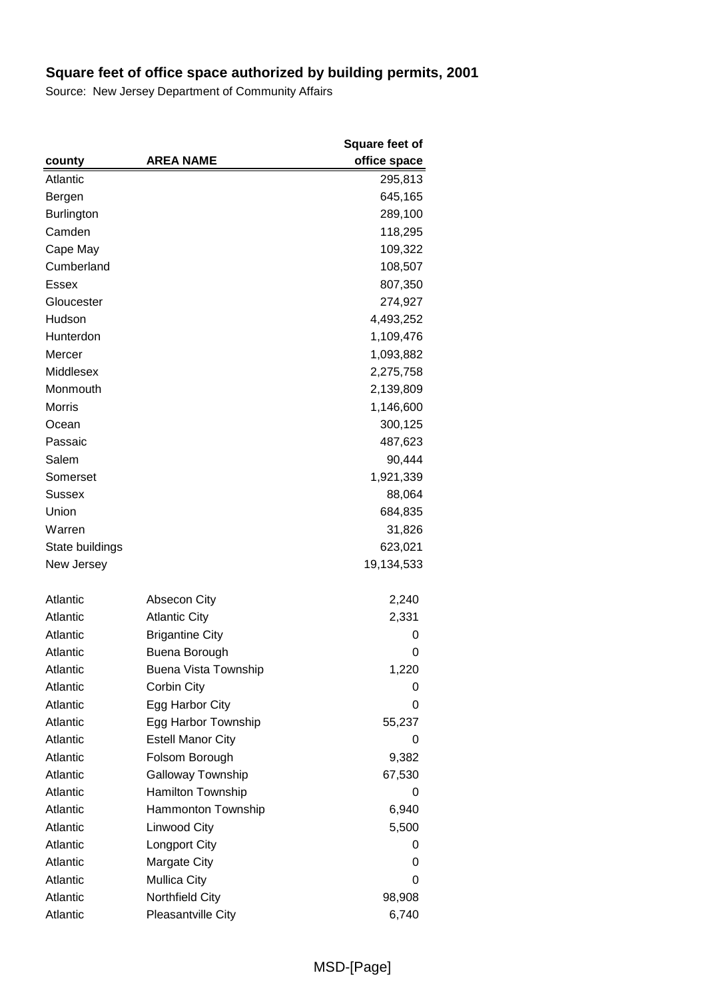|                   |                          | <b>Square feet of</b> |
|-------------------|--------------------------|-----------------------|
| county            | <b>AREA NAME</b>         | office space          |
| Atlantic          |                          | 295,813               |
| Bergen            |                          | 645,165               |
| <b>Burlington</b> |                          | 289,100               |
| Camden            |                          | 118,295               |
| Cape May          |                          | 109,322               |
| Cumberland        |                          | 108,507               |
| Essex             |                          | 807,350               |
| Gloucester        |                          | 274,927               |
| Hudson            |                          | 4,493,252             |
| Hunterdon         |                          | 1,109,476             |
| Mercer            |                          | 1,093,882             |
| Middlesex         |                          | 2,275,758             |
| Monmouth          |                          | 2,139,809             |
| Morris            |                          | 1,146,600             |
| Ocean             |                          | 300,125               |
| Passaic           |                          | 487,623               |
| Salem             |                          | 90,444                |
| Somerset          |                          | 1,921,339             |
| Sussex            |                          | 88,064                |
| Union             |                          | 684,835               |
| Warren            |                          | 31,826                |
| State buildings   |                          | 623,021               |
| New Jersey        |                          | 19,134,533            |
|                   |                          |                       |
| Atlantic          | <b>Absecon City</b>      | 2,240                 |
| Atlantic          | <b>Atlantic City</b>     | 2,331                 |
| Atlantic          | <b>Brigantine City</b>   | 0                     |
| Atlantic          | Buena Borough            | 0                     |
| Atlantic          | Buena Vista Township     | 1,220                 |
| Atlantic          | Corbin City              | 0                     |
| Atlantic          | Egg Harbor City          | 0                     |
| Atlantic          | Egg Harbor Township      | 55,237                |
| Atlantic          | <b>Estell Manor City</b> | 0                     |
| Atlantic          | Folsom Borough           | 9,382                 |
| Atlantic          | Galloway Township        | 67,530                |
| Atlantic          | Hamilton Township        | 0                     |
| Atlantic          | Hammonton Township       | 6,940                 |
| Atlantic          | Linwood City             | 5,500                 |
| Atlantic          | <b>Longport City</b>     | 0                     |
| Atlantic          | Margate City             | 0                     |
| Atlantic          | <b>Mullica City</b>      | 0                     |
| Atlantic          | Northfield City          | 98,908                |
| Atlantic          | Pleasantville City       | 6,740                 |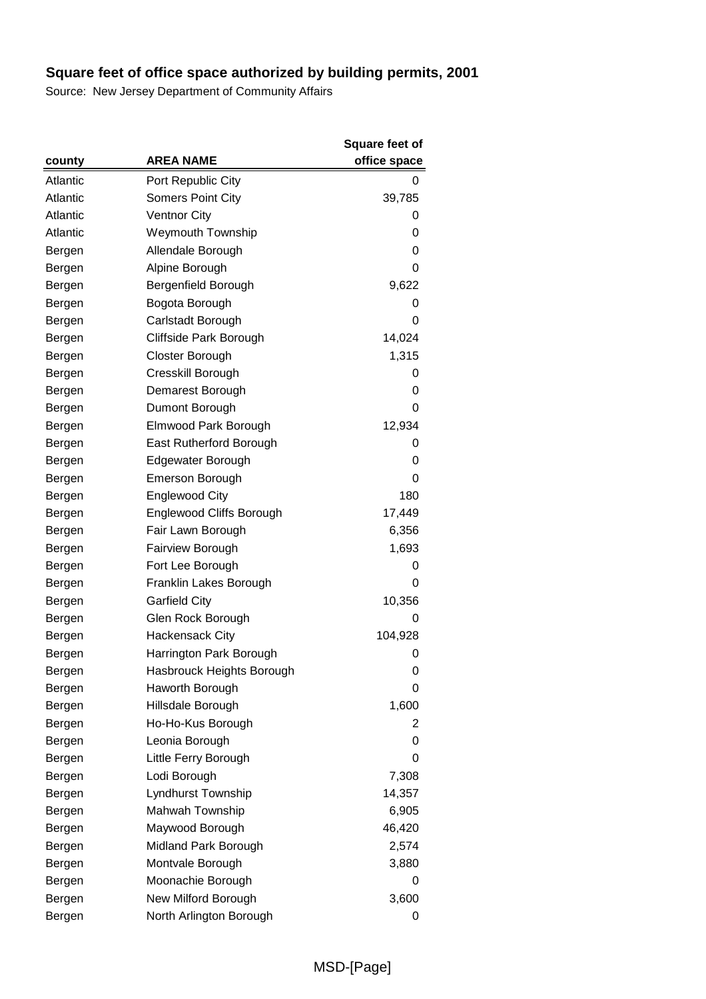|          |                                 | Square feet of |
|----------|---------------------------------|----------------|
| county   | <b>AREA NAME</b>                | office space   |
| Atlantic | Port Republic City              | 0              |
| Atlantic | <b>Somers Point City</b>        | 39,785         |
| Atlantic | <b>Ventnor City</b>             | 0              |
| Atlantic | <b>Weymouth Township</b>        | 0              |
| Bergen   | Allendale Borough               | 0              |
| Bergen   | Alpine Borough                  | 0              |
| Bergen   | Bergenfield Borough             | 9,622          |
| Bergen   | Bogota Borough                  | 0              |
| Bergen   | Carlstadt Borough               | 0              |
| Bergen   | Cliffside Park Borough          | 14,024         |
| Bergen   | Closter Borough                 | 1,315          |
| Bergen   | Cresskill Borough               | 0              |
| Bergen   | Demarest Borough                | 0              |
| Bergen   | Dumont Borough                  | 0              |
| Bergen   | Elmwood Park Borough            | 12,934         |
| Bergen   | East Rutherford Borough         | 0              |
| Bergen   | Edgewater Borough               | 0              |
| Bergen   | <b>Emerson Borough</b>          | 0              |
| Bergen   | <b>Englewood City</b>           | 180            |
| Bergen   | <b>Englewood Cliffs Borough</b> | 17,449         |
| Bergen   | Fair Lawn Borough               | 6,356          |
| Bergen   | Fairview Borough                | 1,693          |
| Bergen   | Fort Lee Borough                | 0              |
| Bergen   | Franklin Lakes Borough          | 0              |
| Bergen   | <b>Garfield City</b>            | 10,356         |
| Bergen   | Glen Rock Borough               | 0              |
| Bergen   | <b>Hackensack City</b>          | 104,928        |
| Bergen   | Harrington Park Borough         | 0              |
| Bergen   | Hasbrouck Heights Borough       | 0              |
| Bergen   | Haworth Borough                 | 0              |
| Bergen   | Hillsdale Borough               | 1,600          |
| Bergen   | Ho-Ho-Kus Borough               | 2              |
| Bergen   | Leonia Borough                  | 0              |
| Bergen   | Little Ferry Borough            | 0              |
| Bergen   | Lodi Borough                    | 7,308          |
| Bergen   | Lyndhurst Township              | 14,357         |
| Bergen   | Mahwah Township                 | 6,905          |
| Bergen   | Maywood Borough                 | 46,420         |
| Bergen   | Midland Park Borough            | 2,574          |
| Bergen   | Montvale Borough                | 3,880          |
| Bergen   | Moonachie Borough               | 0              |
| Bergen   | New Milford Borough             | 3,600          |
| Bergen   | North Arlington Borough         | 0              |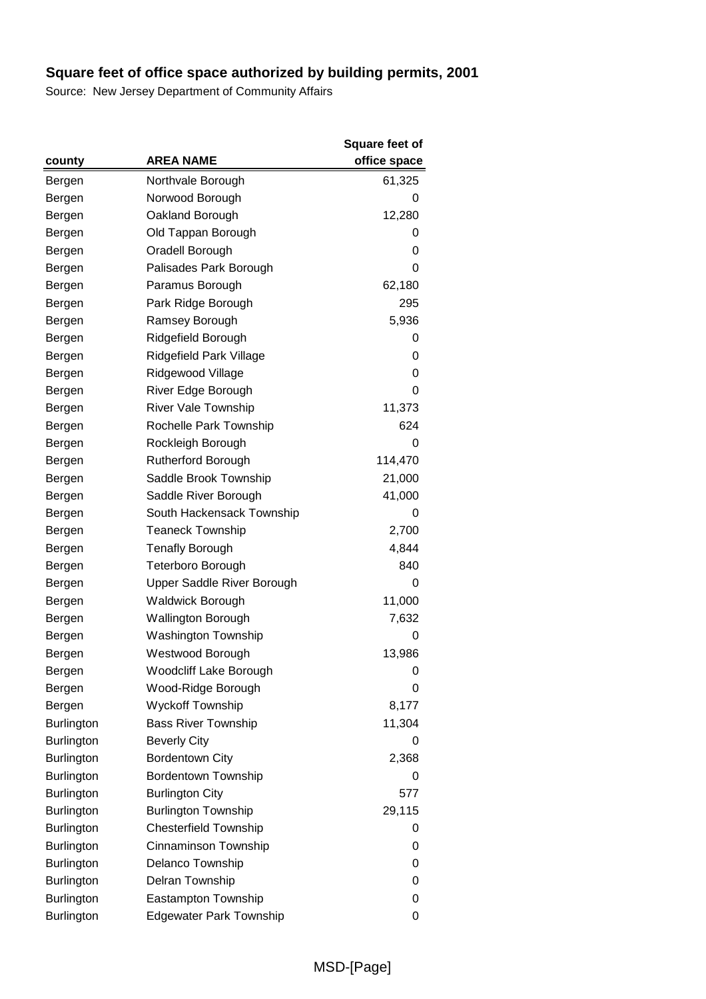|                   |                                | <b>Square feet of</b> |
|-------------------|--------------------------------|-----------------------|
| county            | <b>AREA NAME</b>               | office space          |
| Bergen            | Northvale Borough              | 61,325                |
| Bergen            | Norwood Borough                | 0                     |
| Bergen            | Oakland Borough                | 12,280                |
| Bergen            | Old Tappan Borough             | 0                     |
| Bergen            | Oradell Borough                | 0                     |
| Bergen            | Palisades Park Borough         | 0                     |
| Bergen            | Paramus Borough                | 62,180                |
| Bergen            | Park Ridge Borough             | 295                   |
| Bergen            | Ramsey Borough                 | 5,936                 |
| Bergen            | Ridgefield Borough             | 0                     |
| Bergen            | Ridgefield Park Village        | 0                     |
| Bergen            | Ridgewood Village              | 0                     |
| Bergen            | River Edge Borough             | 0                     |
| Bergen            | <b>River Vale Township</b>     | 11,373                |
| Bergen            | Rochelle Park Township         | 624                   |
| Bergen            | Rockleigh Borough              | 0                     |
| Bergen            | <b>Rutherford Borough</b>      | 114,470               |
| Bergen            | Saddle Brook Township          | 21,000                |
| Bergen            | Saddle River Borough           | 41,000                |
| Bergen            | South Hackensack Township      | 0                     |
| Bergen            | <b>Teaneck Township</b>        | 2,700                 |
| Bergen            | <b>Tenafly Borough</b>         | 4,844                 |
| Bergen            | Teterboro Borough              | 840                   |
| Bergen            | Upper Saddle River Borough     | 0                     |
| Bergen            | <b>Waldwick Borough</b>        | 11,000                |
| Bergen            | <b>Wallington Borough</b>      | 7,632                 |
| Bergen            | <b>Washington Township</b>     | 0                     |
| Bergen            | Westwood Borough               | 13,986                |
| Bergen            | Woodcliff Lake Borough         | 0                     |
| Bergen            | Wood-Ridge Borough             | 0                     |
| Bergen            | <b>Wyckoff Township</b>        | 8,177                 |
| <b>Burlington</b> | <b>Bass River Township</b>     | 11,304                |
| <b>Burlington</b> | <b>Beverly City</b>            | 0                     |
| <b>Burlington</b> | <b>Bordentown City</b>         | 2,368                 |
| <b>Burlington</b> | <b>Bordentown Township</b>     | 0                     |
| <b>Burlington</b> | <b>Burlington City</b>         | 577                   |
| <b>Burlington</b> | <b>Burlington Township</b>     | 29,115                |
| <b>Burlington</b> | <b>Chesterfield Township</b>   | 0                     |
| Burlington        | Cinnaminson Township           | 0                     |
| <b>Burlington</b> | Delanco Township               | 0                     |
| <b>Burlington</b> | Delran Township                | 0                     |
| <b>Burlington</b> | Eastampton Township            | 0                     |
| Burlington        | <b>Edgewater Park Township</b> | 0                     |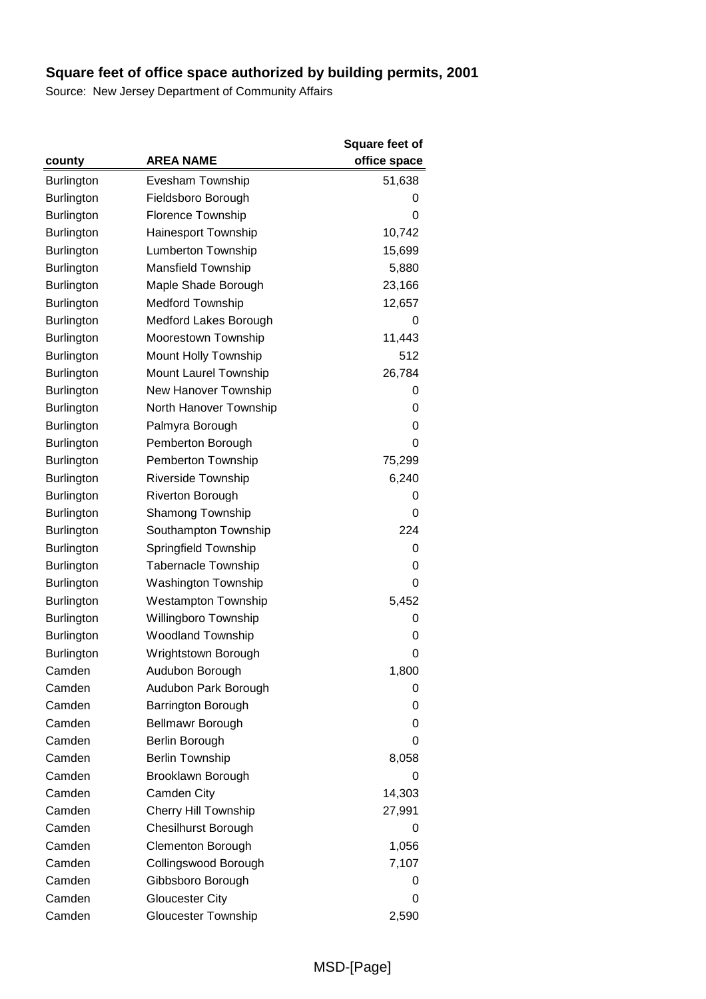|                   |                             | Square feet of |
|-------------------|-----------------------------|----------------|
| county            | <b>AREA NAME</b>            | office space   |
| <b>Burlington</b> | Evesham Township            | 51,638         |
| <b>Burlington</b> | Fieldsboro Borough          | 0              |
| <b>Burlington</b> | Florence Township           | 0              |
| <b>Burlington</b> | Hainesport Township         | 10,742         |
| <b>Burlington</b> | Lumberton Township          | 15,699         |
| <b>Burlington</b> | Mansfield Township          | 5,880          |
| <b>Burlington</b> | Maple Shade Borough         | 23,166         |
| <b>Burlington</b> | <b>Medford Township</b>     | 12,657         |
| <b>Burlington</b> | Medford Lakes Borough       | 0              |
| Burlington        | Moorestown Township         | 11,443         |
| <b>Burlington</b> | Mount Holly Township        | 512            |
| <b>Burlington</b> | Mount Laurel Township       | 26,784         |
| <b>Burlington</b> | New Hanover Township        | 0              |
| <b>Burlington</b> | North Hanover Township      | 0              |
| Burlington        | Palmyra Borough             | 0              |
| <b>Burlington</b> | Pemberton Borough           | 0              |
| <b>Burlington</b> | Pemberton Township          | 75,299         |
| <b>Burlington</b> | <b>Riverside Township</b>   | 6,240          |
| <b>Burlington</b> | <b>Riverton Borough</b>     | 0              |
| <b>Burlington</b> | <b>Shamong Township</b>     | 0              |
| <b>Burlington</b> | Southampton Township        | 224            |
| <b>Burlington</b> | Springfield Township        | 0              |
| Burlington        | <b>Tabernacle Township</b>  | 0              |
| <b>Burlington</b> | <b>Washington Township</b>  | 0              |
| <b>Burlington</b> | <b>Westampton Township</b>  | 5,452          |
| <b>Burlington</b> | Willingboro Township        | 0              |
| <b>Burlington</b> | <b>Woodland Township</b>    | 0              |
| Burlington        | Wrightstown Borough         | 0              |
| Camden            | Audubon Borough             | 1,800          |
| Camden            | Audubon Park Borough        | 0              |
| Camden            | Barrington Borough          | 0              |
| Camden            | <b>Bellmawr Borough</b>     | 0              |
| Camden            | Berlin Borough              | 0              |
| Camden            | <b>Berlin Township</b>      | 8,058          |
| Camden            | Brooklawn Borough           | 0              |
| Camden            | Camden City                 | 14,303         |
| Camden            | <b>Cherry Hill Township</b> | 27,991         |
| Camden            | <b>Chesilhurst Borough</b>  | 0              |
| Camden            | Clementon Borough           | 1,056          |
| Camden            | Collingswood Borough        | 7,107          |
| Camden            | Gibbsboro Borough           | 0              |
| Camden            | <b>Gloucester City</b>      | 0              |
| Camden            | <b>Gloucester Township</b>  | 2,590          |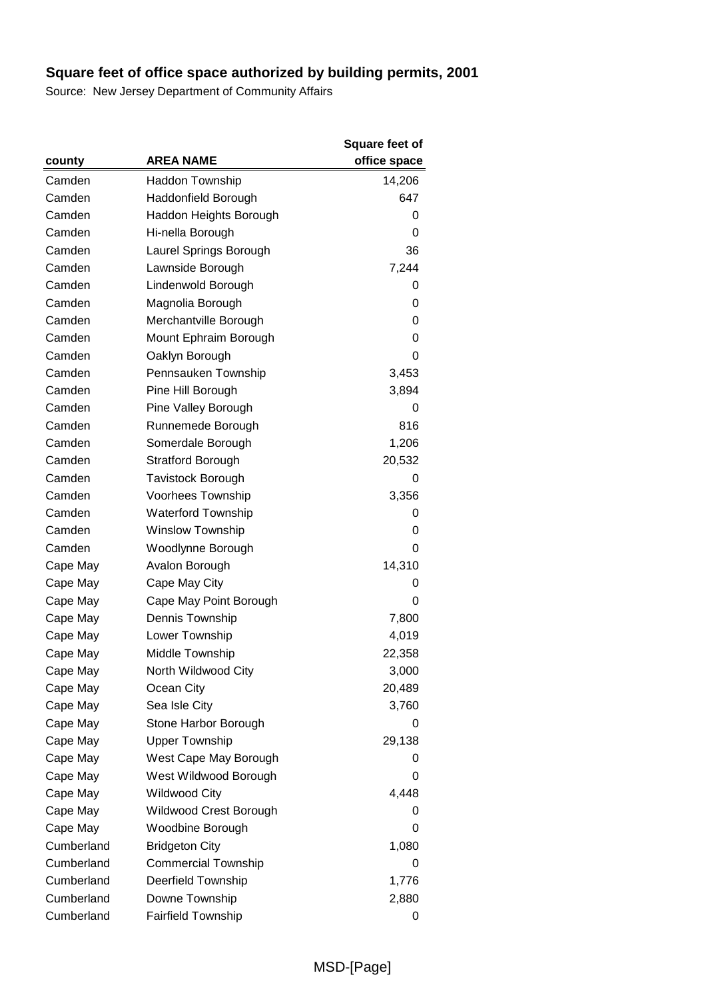|            |                            | <b>Square feet of</b> |
|------------|----------------------------|-----------------------|
| county     | <b>AREA NAME</b>           | office space          |
| Camden     | <b>Haddon Township</b>     | 14,206                |
| Camden     | Haddonfield Borough        | 647                   |
| Camden     | Haddon Heights Borough     | 0                     |
| Camden     | Hi-nella Borough           | 0                     |
| Camden     | Laurel Springs Borough     | 36                    |
| Camden     | Lawnside Borough           | 7,244                 |
| Camden     | Lindenwold Borough         | 0                     |
| Camden     | Magnolia Borough           | 0                     |
| Camden     | Merchantville Borough      | 0                     |
| Camden     | Mount Ephraim Borough      | 0                     |
| Camden     | Oaklyn Borough             | 0                     |
| Camden     | Pennsauken Township        | 3,453                 |
| Camden     | Pine Hill Borough          | 3,894                 |
| Camden     | Pine Valley Borough        | 0                     |
| Camden     | Runnemede Borough          | 816                   |
| Camden     | Somerdale Borough          | 1,206                 |
| Camden     | <b>Stratford Borough</b>   | 20,532                |
| Camden     | <b>Tavistock Borough</b>   | 0                     |
| Camden     | Voorhees Township          | 3,356                 |
| Camden     | <b>Waterford Township</b>  | 0                     |
| Camden     | <b>Winslow Township</b>    | 0                     |
| Camden     | Woodlynne Borough          | 0                     |
| Cape May   | Avalon Borough             | 14,310                |
| Cape May   | Cape May City              | 0                     |
| Cape May   | Cape May Point Borough     | 0                     |
| Cape May   | Dennis Township            | 7,800                 |
| Cape May   | Lower Township             | 4,019                 |
| Cape May   | Middle Township            | 22,358                |
| Cape May   | North Wildwood City        | 3,000                 |
| Cape May   | Ocean City                 | 20,489                |
| Cape May   | Sea Isle City              | 3,760                 |
| Cape May   | Stone Harbor Borough       | O                     |
| Cape May   | <b>Upper Township</b>      | 29,138                |
| Cape May   | West Cape May Borough      | 0                     |
| Cape May   | West Wildwood Borough      | 0                     |
| Cape May   | <b>Wildwood City</b>       | 4,448                 |
| Cape May   | Wildwood Crest Borough     | 0                     |
| Cape May   | Woodbine Borough           | 0                     |
| Cumberland | <b>Bridgeton City</b>      | 1,080                 |
| Cumberland | <b>Commercial Township</b> | 0                     |
| Cumberland | <b>Deerfield Township</b>  | 1,776                 |
| Cumberland | Downe Township             | 2,880                 |
| Cumberland | <b>Fairfield Township</b>  | 0                     |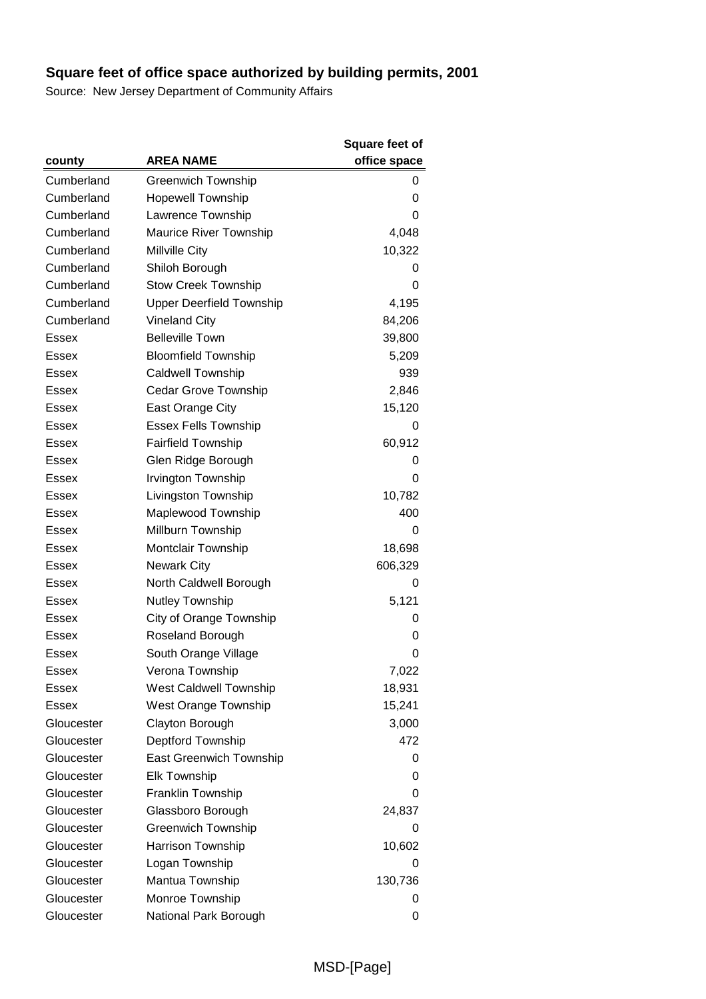|              |                                 | Square feet of |
|--------------|---------------------------------|----------------|
| county       | <b>AREA NAME</b>                | office space   |
| Cumberland   | <b>Greenwich Township</b>       | 0              |
| Cumberland   | <b>Hopewell Township</b>        | 0              |
| Cumberland   | Lawrence Township               | 0              |
| Cumberland   | Maurice River Township          | 4,048          |
| Cumberland   | <b>Millville City</b>           | 10,322         |
| Cumberland   | Shiloh Borough                  | 0              |
| Cumberland   | <b>Stow Creek Township</b>      | 0              |
| Cumberland   | <b>Upper Deerfield Township</b> | 4,195          |
| Cumberland   | <b>Vineland City</b>            | 84,206         |
| Essex        | <b>Belleville Town</b>          | 39,800         |
| <b>Essex</b> | <b>Bloomfield Township</b>      | 5,209          |
| Essex        | <b>Caldwell Township</b>        | 939            |
| Essex        | Cedar Grove Township            | 2,846          |
| Essex        | East Orange City                | 15,120         |
| <b>Essex</b> | <b>Essex Fells Township</b>     | 0              |
| Essex        | <b>Fairfield Township</b>       | 60,912         |
| Essex        | Glen Ridge Borough              | 0              |
| Essex        | Irvington Township              | 0              |
| Essex        | Livingston Township             | 10,782         |
| Essex        | Maplewood Township              | 400            |
| Essex        | Millburn Township               | 0              |
| <b>Essex</b> | Montclair Township              | 18,698         |
| Essex        | <b>Newark City</b>              | 606,329        |
| Essex        | North Caldwell Borough          | 0              |
| <b>Essex</b> | Nutley Township                 | 5,121          |
| Essex        | City of Orange Township         | 0              |
| Essex        | Roseland Borough                | 0              |
| <b>Essex</b> | South Orange Village            | 0              |
| <b>Essex</b> | Verona Township                 | 7,022          |
| Essex        | West Caldwell Township          | 18,931         |
| <b>Essex</b> | West Orange Township            | 15,241         |
| Gloucester   | Clayton Borough                 | 3,000          |
| Gloucester   | Deptford Township               | 472            |
| Gloucester   | <b>East Greenwich Township</b>  | 0              |
| Gloucester   | <b>Elk Township</b>             | 0              |
| Gloucester   | Franklin Township               | 0              |
| Gloucester   | Glassboro Borough               | 24,837         |
| Gloucester   | <b>Greenwich Township</b>       | 0              |
| Gloucester   | Harrison Township               | 10,602         |
| Gloucester   | Logan Township                  | 0              |
| Gloucester   | Mantua Township                 | 130,736        |
| Gloucester   | Monroe Township                 | 0              |
| Gloucester   | National Park Borough           | 0              |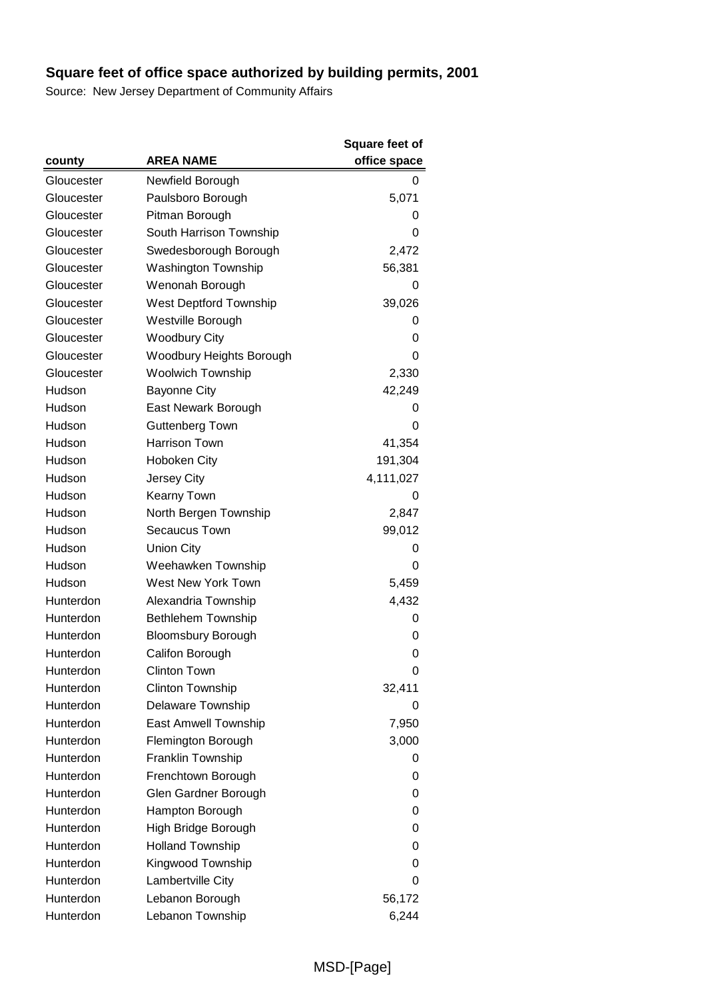|            |                             | Square feet of |
|------------|-----------------------------|----------------|
| county     | <b>AREA NAME</b>            | office space   |
| Gloucester | Newfield Borough            | 0              |
| Gloucester | Paulsboro Borough           | 5,071          |
| Gloucester | Pitman Borough              | 0              |
| Gloucester | South Harrison Township     | 0              |
| Gloucester | Swedesborough Borough       | 2,472          |
| Gloucester | <b>Washington Township</b>  | 56,381         |
| Gloucester | Wenonah Borough             | 0              |
| Gloucester | West Deptford Township      | 39,026         |
| Gloucester | Westville Borough           | 0              |
| Gloucester | <b>Woodbury City</b>        | 0              |
| Gloucester | Woodbury Heights Borough    | 0              |
| Gloucester | <b>Woolwich Township</b>    | 2,330          |
| Hudson     | <b>Bayonne City</b>         | 42,249         |
| Hudson     | East Newark Borough         | 0              |
| Hudson     | Guttenberg Town             | 0              |
| Hudson     | Harrison Town               | 41,354         |
| Hudson     | Hoboken City                | 191,304        |
| Hudson     | Jersey City                 | 4,111,027      |
| Hudson     | Kearny Town                 | 0              |
| Hudson     | North Bergen Township       | 2,847          |
| Hudson     | <b>Secaucus Town</b>        | 99,012         |
| Hudson     | <b>Union City</b>           | 0              |
| Hudson     | Weehawken Township          | 0              |
| Hudson     | West New York Town          | 5,459          |
| Hunterdon  | Alexandria Township         | 4,432          |
| Hunterdon  | Bethlehem Township          | 0              |
| Hunterdon  | <b>Bloomsbury Borough</b>   | 0              |
| Hunterdon  | Califon Borough             | 0              |
| Hunterdon  | <b>Clinton Town</b>         | 0              |
| Hunterdon  | <b>Clinton Township</b>     | 32,411         |
| Hunterdon  | Delaware Township           | 0              |
| Hunterdon  | <b>East Amwell Township</b> | 7,950          |
| Hunterdon  | Flemington Borough          | 3,000          |
| Hunterdon  | Franklin Township           | 0              |
| Hunterdon  | Frenchtown Borough          | 0              |
| Hunterdon  | Glen Gardner Borough        | 0              |
| Hunterdon  | Hampton Borough             | 0              |
| Hunterdon  | High Bridge Borough         | 0              |
| Hunterdon  | <b>Holland Township</b>     | 0              |
| Hunterdon  | Kingwood Township           | 0              |
| Hunterdon  | Lambertville City           | 0              |
| Hunterdon  | Lebanon Borough             | 56,172         |
| Hunterdon  | Lebanon Township            | 6,244          |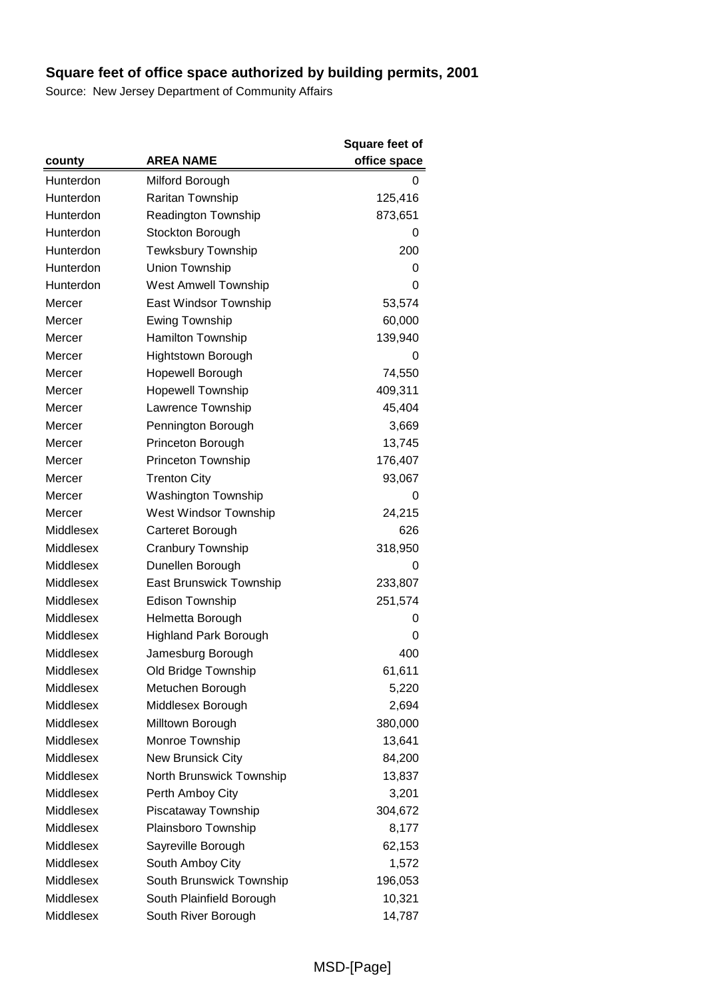|           |                              | <b>Square feet of</b> |
|-----------|------------------------------|-----------------------|
| county    | <b>AREA NAME</b>             | office space          |
| Hunterdon | Milford Borough              | 0                     |
| Hunterdon | Raritan Township             | 125,416               |
| Hunterdon | Readington Township          | 873,651               |
| Hunterdon | Stockton Borough             | O                     |
| Hunterdon | Tewksbury Township           | 200                   |
| Hunterdon | Union Township               | 0                     |
| Hunterdon | <b>West Amwell Township</b>  | 0                     |
| Mercer    | East Windsor Township        | 53,574                |
| Mercer    | <b>Ewing Township</b>        | 60,000                |
| Mercer    | Hamilton Township            | 139,940               |
| Mercer    | Hightstown Borough           | 0                     |
| Mercer    | Hopewell Borough             | 74,550                |
| Mercer    | <b>Hopewell Township</b>     | 409,311               |
| Mercer    | Lawrence Township            | 45,404                |
| Mercer    | Pennington Borough           | 3,669                 |
| Mercer    | Princeton Borough            | 13,745                |
| Mercer    | Princeton Township           | 176,407               |
| Mercer    | <b>Trenton City</b>          | 93,067                |
| Mercer    | <b>Washington Township</b>   | 0                     |
| Mercer    | West Windsor Township        | 24,215                |
| Middlesex | Carteret Borough             | 626                   |
| Middlesex | Cranbury Township            | 318,950               |
| Middlesex | Dunellen Borough             | 0                     |
| Middlesex | East Brunswick Township      | 233,807               |
| Middlesex | <b>Edison Township</b>       | 251,574               |
| Middlesex | Helmetta Borough             | 0                     |
| Middlesex | <b>Highland Park Borough</b> | 0                     |
| Middlesex | Jamesburg Borough            | 400                   |
| Middlesex | Old Bridge Township          | 61,611                |
| Middlesex | Metuchen Borough             | 5,220                 |
| Middlesex | Middlesex Borough            | 2,694                 |
| Middlesex | Milltown Borough             | 380,000               |
| Middlesex | Monroe Township              | 13,641                |
| Middlesex | New Brunsick City            | 84,200                |
| Middlesex | North Brunswick Township     | 13,837                |
| Middlesex | Perth Amboy City             | 3,201                 |
| Middlesex | Piscataway Township          | 304,672               |
| Middlesex | Plainsboro Township          | 8,177                 |
| Middlesex | Sayreville Borough           | 62,153                |
| Middlesex | South Amboy City             | 1,572                 |
| Middlesex | South Brunswick Township     | 196,053               |
| Middlesex | South Plainfield Borough     | 10,321                |
| Middlesex | South River Borough          | 14,787                |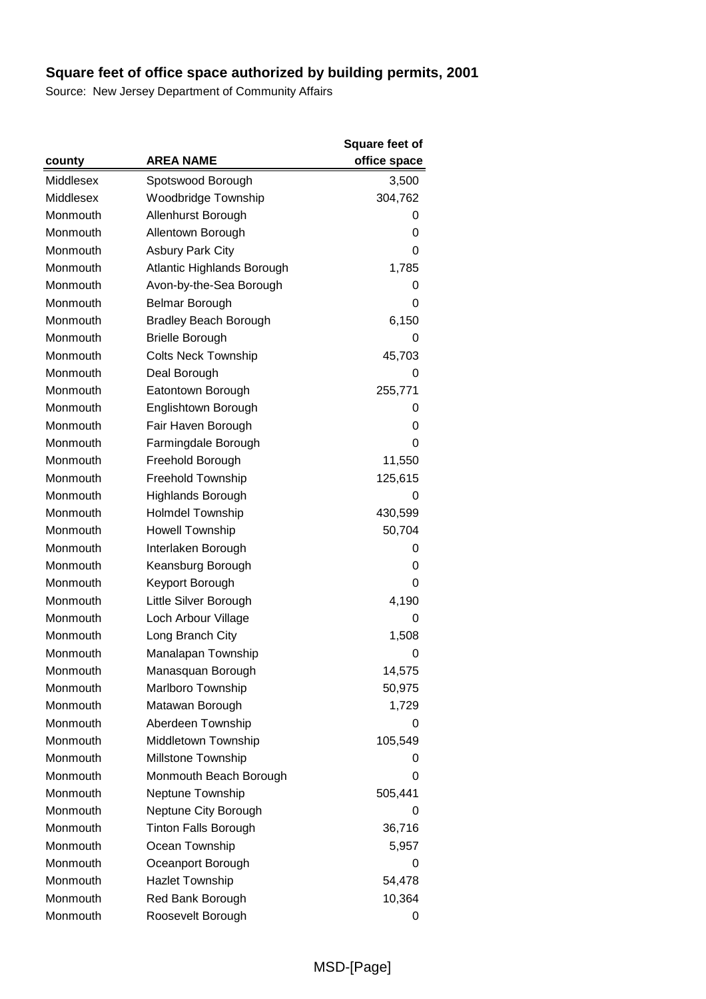|           |                              | <b>Square feet of</b> |
|-----------|------------------------------|-----------------------|
| county    | <b>AREA NAME</b>             | office space          |
| Middlesex | Spotswood Borough            | 3,500                 |
| Middlesex | <b>Woodbridge Township</b>   | 304,762               |
| Monmouth  | Allenhurst Borough           | 0                     |
| Monmouth  | Allentown Borough            | 0                     |
| Monmouth  | <b>Asbury Park City</b>      | 0                     |
| Monmouth  | Atlantic Highlands Borough   | 1,785                 |
| Monmouth  | Avon-by-the-Sea Borough      | 0                     |
| Monmouth  | Belmar Borough               | 0                     |
| Monmouth  | <b>Bradley Beach Borough</b> | 6,150                 |
| Monmouth  | <b>Brielle Borough</b>       | 0                     |
| Monmouth  | <b>Colts Neck Township</b>   | 45,703                |
| Monmouth  | Deal Borough                 | 0                     |
| Monmouth  | Eatontown Borough            | 255,771               |
| Monmouth  | Englishtown Borough          | 0                     |
| Monmouth  | Fair Haven Borough           | 0                     |
| Monmouth  | Farmingdale Borough          | 0                     |
| Monmouth  | Freehold Borough             | 11,550                |
| Monmouth  | Freehold Township            | 125,615               |
| Monmouth  | <b>Highlands Borough</b>     | 0                     |
| Monmouth  | <b>Holmdel Township</b>      | 430,599               |
| Monmouth  | <b>Howell Township</b>       | 50,704                |
| Monmouth  | Interlaken Borough           | 0                     |
| Monmouth  | Keansburg Borough            | 0                     |
| Monmouth  | Keyport Borough              | 0                     |
| Monmouth  | Little Silver Borough        | 4,190                 |
| Monmouth  | Loch Arbour Village          | 0                     |
| Monmouth  | Long Branch City             | 1,508                 |
| Monmouth  | Manalapan Township           | 0                     |
| Monmouth  | Manasquan Borough            | 14,575                |
| Monmouth  | Marlboro Township            | 50,975                |
| Monmouth  | Matawan Borough              | 1,729                 |
| Monmouth  | Aberdeen Township            | O                     |
| Monmouth  | Middletown Township          | 105,549               |
| Monmouth  | Millstone Township           | 0                     |
| Monmouth  | Monmouth Beach Borough       | 0                     |
| Monmouth  | Neptune Township             | 505,441               |
| Monmouth  | Neptune City Borough         | 0                     |
| Monmouth  | <b>Tinton Falls Borough</b>  | 36,716                |
| Monmouth  | Ocean Township               | 5,957                 |
| Monmouth  | Oceanport Borough            | 0                     |
| Monmouth  | <b>Hazlet Township</b>       | 54,478                |
| Monmouth  | Red Bank Borough             | 10,364                |
| Monmouth  | Roosevelt Borough            | 0                     |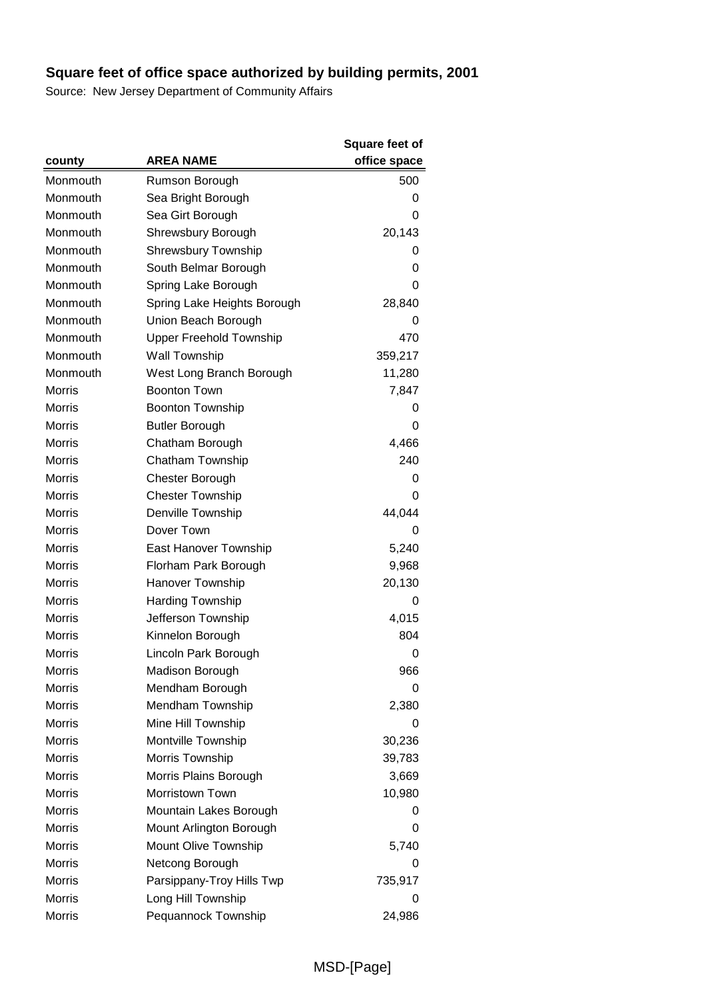|               |                                | <b>Square feet of</b> |
|---------------|--------------------------------|-----------------------|
| county        | <b>AREA NAME</b>               | office space          |
| Monmouth      | Rumson Borough                 | 500                   |
| Monmouth      | Sea Bright Borough             | 0                     |
| Monmouth      | Sea Girt Borough               | 0                     |
| Monmouth      | Shrewsbury Borough             | 20,143                |
| Monmouth      | <b>Shrewsbury Township</b>     | 0                     |
| Monmouth      | South Belmar Borough           | 0                     |
| Monmouth      | Spring Lake Borough            | 0                     |
| Monmouth      | Spring Lake Heights Borough    | 28,840                |
| Monmouth      | Union Beach Borough            | 0                     |
| Monmouth      | <b>Upper Freehold Township</b> | 470                   |
| Monmouth      | <b>Wall Township</b>           | 359,217               |
| Monmouth      | West Long Branch Borough       | 11,280                |
| <b>Morris</b> | <b>Boonton Town</b>            | 7,847                 |
| <b>Morris</b> | <b>Boonton Township</b>        | 0                     |
| <b>Morris</b> | <b>Butler Borough</b>          | 0                     |
| <b>Morris</b> | Chatham Borough                | 4,466                 |
| <b>Morris</b> | Chatham Township               | 240                   |
| <b>Morris</b> | Chester Borough                | 0                     |
| <b>Morris</b> | <b>Chester Township</b>        | 0                     |
| <b>Morris</b> | Denville Township              | 44,044                |
| <b>Morris</b> | Dover Town                     | 0                     |
| <b>Morris</b> | East Hanover Township          | 5,240                 |
| <b>Morris</b> | Florham Park Borough           | 9,968                 |
| <b>Morris</b> | Hanover Township               | 20,130                |
| <b>Morris</b> | <b>Harding Township</b>        | 0                     |
| <b>Morris</b> | Jefferson Township             | 4,015                 |
| <b>Morris</b> | Kinnelon Borough               | 804                   |
| <b>Morris</b> | Lincoln Park Borough           | 0                     |
| Morris        | <b>Madison Borough</b>         | 966                   |
| Morris        | Mendham Borough                | 0                     |
| <b>Morris</b> | Mendham Township               | 2,380                 |
| <b>Morris</b> | Mine Hill Township             | 0                     |
| <b>Morris</b> | Montville Township             | 30,236                |
| <b>Morris</b> | Morris Township                | 39,783                |
| <b>Morris</b> | Morris Plains Borough          | 3,669                 |
| <b>Morris</b> | Morristown Town                | 10,980                |
| <b>Morris</b> | Mountain Lakes Borough         | 0                     |
| <b>Morris</b> | Mount Arlington Borough        | 0                     |
| <b>Morris</b> | Mount Olive Township           | 5,740                 |
| <b>Morris</b> | Netcong Borough                | 0                     |
| <b>Morris</b> | Parsippany-Troy Hills Twp      | 735,917               |
| <b>Morris</b> | Long Hill Township             | 0                     |
| Morris        | Pequannock Township            | 24,986                |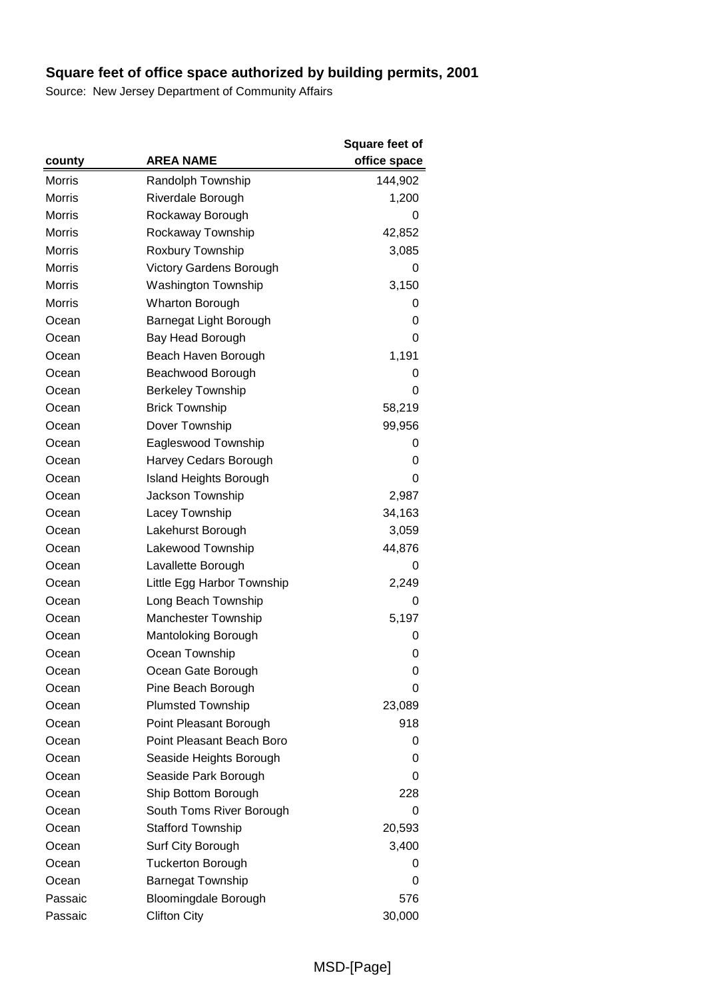|               |                                | <b>Square feet of</b> |
|---------------|--------------------------------|-----------------------|
| county        | <b>AREA NAME</b>               | office space          |
| <b>Morris</b> | Randolph Township              | 144,902               |
| <b>Morris</b> | Riverdale Borough              | 1,200                 |
| <b>Morris</b> | Rockaway Borough               | 0                     |
| <b>Morris</b> | Rockaway Township              | 42,852                |
| Morris        | Roxbury Township               | 3,085                 |
| <b>Morris</b> | <b>Victory Gardens Borough</b> | 0                     |
| <b>Morris</b> | <b>Washington Township</b>     | 3,150                 |
| <b>Morris</b> | <b>Wharton Borough</b>         | 0                     |
| Ocean         | Barnegat Light Borough         | 0                     |
| Ocean         | Bay Head Borough               | 0                     |
| Ocean         | Beach Haven Borough            | 1,191                 |
| Ocean         | Beachwood Borough              | 0                     |
| Ocean         | <b>Berkeley Township</b>       | 0                     |
| Ocean         | <b>Brick Township</b>          | 58,219                |
| Ocean         | Dover Township                 | 99,956                |
| Ocean         | Eagleswood Township            | 0                     |
| Ocean         | Harvey Cedars Borough          | 0                     |
| Ocean         | <b>Island Heights Borough</b>  | 0                     |
| Ocean         | Jackson Township               | 2,987                 |
| Ocean         | Lacey Township                 | 34,163                |
| Ocean         | Lakehurst Borough              | 3,059                 |
| Ocean         | Lakewood Township              | 44,876                |
| Ocean         | Lavallette Borough             | 0                     |
| Ocean         | Little Egg Harbor Township     | 2,249                 |
| Ocean         | Long Beach Township            | 0                     |
| Ocean         | <b>Manchester Township</b>     | 5,197                 |
| Ocean         | Mantoloking Borough            | 0                     |
| Ocean         | Ocean Township                 | 0                     |
| Ocean         | Ocean Gate Borough             | 0                     |
| Ocean         | Pine Beach Borough             | 0                     |
| Ocean         | <b>Plumsted Township</b>       | 23,089                |
| Ocean         | Point Pleasant Borough         | 918                   |
| Ocean         | Point Pleasant Beach Boro      | 0                     |
| Ocean         | Seaside Heights Borough        | 0                     |
| Ocean         | Seaside Park Borough           | 0                     |
| Ocean         | Ship Bottom Borough            | 228                   |
| Ocean         | South Toms River Borough       | 0                     |
| Ocean         | <b>Stafford Township</b>       | 20,593                |
| Ocean         | Surf City Borough              | 3,400                 |
| Ocean         | <b>Tuckerton Borough</b>       | 0                     |
| Ocean         | <b>Barnegat Township</b>       | 0                     |
| Passaic       | Bloomingdale Borough           | 576                   |
| Passaic       | <b>Clifton City</b>            | 30,000                |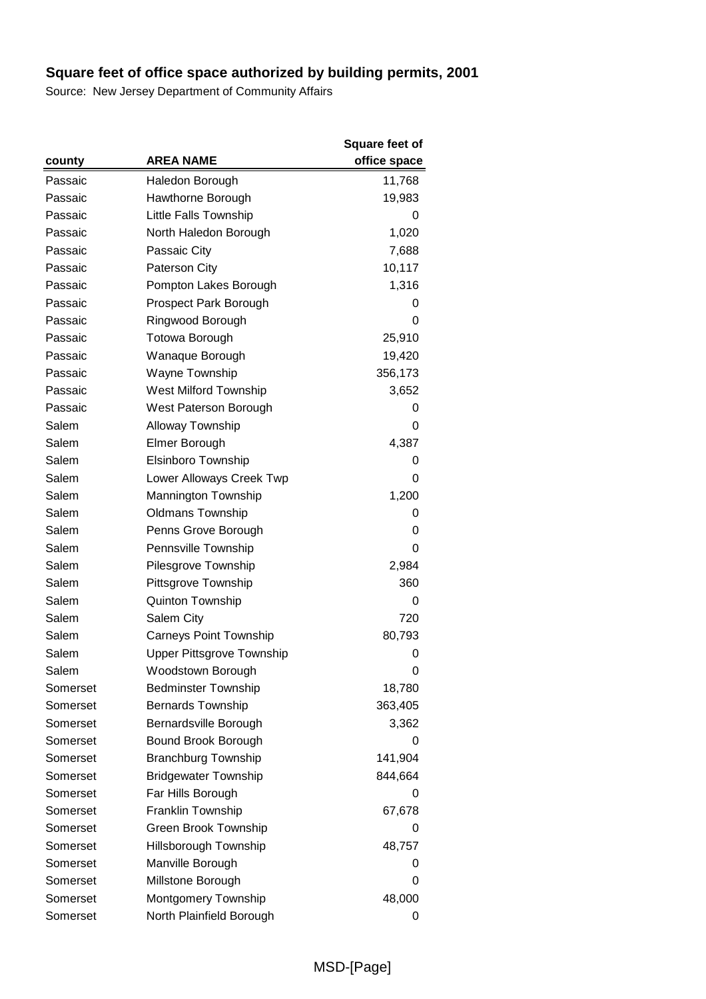|          |                                  | Square feet of |
|----------|----------------------------------|----------------|
| county   | <b>AREA NAME</b>                 | office space   |
| Passaic  | Haledon Borough                  | 11,768         |
| Passaic  | Hawthorne Borough                | 19,983         |
| Passaic  | <b>Little Falls Township</b>     | 0              |
| Passaic  | North Haledon Borough            | 1,020          |
| Passaic  | Passaic City                     | 7,688          |
| Passaic  | Paterson City                    | 10,117         |
| Passaic  | Pompton Lakes Borough            | 1,316          |
| Passaic  | Prospect Park Borough            | 0              |
| Passaic  | Ringwood Borough                 | 0              |
| Passaic  | <b>Totowa Borough</b>            | 25,910         |
| Passaic  | Wanaque Borough                  | 19,420         |
| Passaic  | Wayne Township                   | 356,173        |
| Passaic  | West Milford Township            | 3,652          |
| Passaic  | West Paterson Borough            | 0              |
| Salem    | Alloway Township                 | 0              |
| Salem    | Elmer Borough                    | 4,387          |
| Salem    | Elsinboro Township               | 0              |
| Salem    | Lower Alloways Creek Twp         | 0              |
| Salem    | Mannington Township              | 1,200          |
| Salem    | <b>Oldmans Township</b>          | 0              |
| Salem    | Penns Grove Borough              | 0              |
| Salem    | Pennsville Township              | 0              |
| Salem    | Pilesgrove Township              | 2,984          |
| Salem    | Pittsgrove Township              | 360            |
| Salem    | <b>Quinton Township</b>          | 0              |
| Salem    | Salem City                       | 720            |
| Salem    | <b>Carneys Point Township</b>    | 80,793         |
| Salem    | <b>Upper Pittsgrove Township</b> | 0              |
| Salem    | Woodstown Borough                | 0              |
| Somerset | <b>Bedminster Township</b>       | 18,780         |
| Somerset | <b>Bernards Township</b>         | 363,405        |
| Somerset | Bernardsville Borough            | 3,362          |
| Somerset | Bound Brook Borough              | 0              |
| Somerset | <b>Branchburg Township</b>       | 141,904        |
| Somerset | <b>Bridgewater Township</b>      | 844,664        |
| Somerset | Far Hills Borough                | O              |
| Somerset | Franklin Township                | 67,678         |
| Somerset | <b>Green Brook Township</b>      | 0              |
| Somerset | Hillsborough Township            | 48,757         |
| Somerset | Manville Borough                 | 0              |
| Somerset | Millstone Borough                | 0              |
| Somerset | Montgomery Township              | 48,000         |
| Somerset | North Plainfield Borough         | 0              |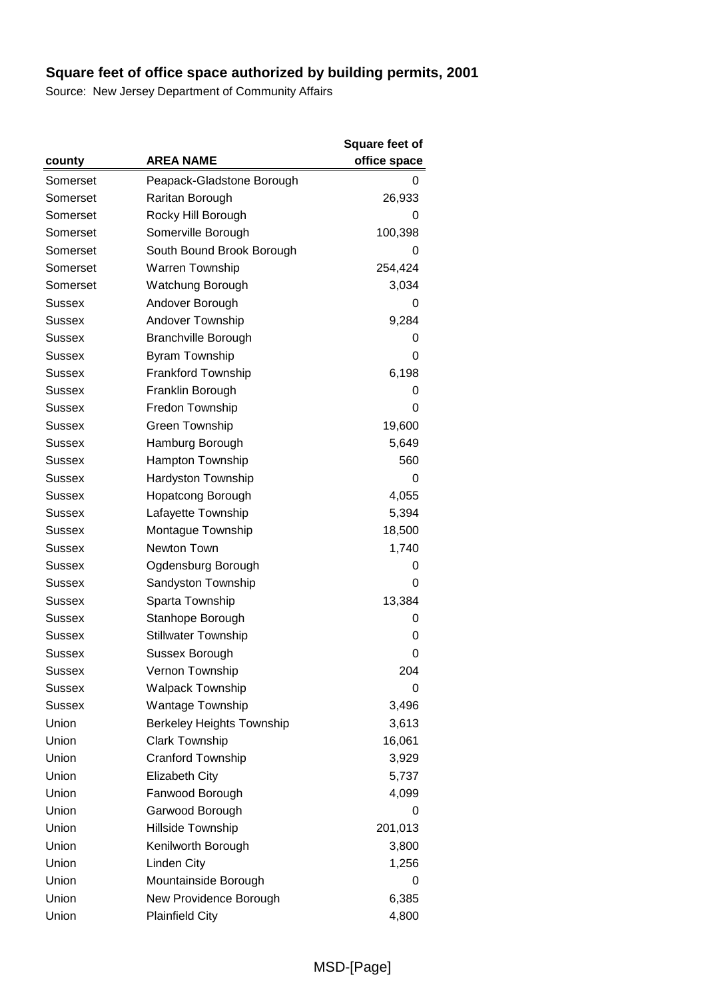|               |                                  | <b>Square feet of</b> |
|---------------|----------------------------------|-----------------------|
| county        | <b>AREA NAME</b>                 | office space          |
| Somerset      | Peapack-Gladstone Borough        | 0                     |
| Somerset      | Raritan Borough                  | 26,933                |
| Somerset      | Rocky Hill Borough               | 0                     |
| Somerset      | Somerville Borough               | 100,398               |
| Somerset      | South Bound Brook Borough        | 0                     |
| Somerset      | <b>Warren Township</b>           | 254,424               |
| Somerset      | Watchung Borough                 | 3,034                 |
| Sussex        | Andover Borough                  | 0                     |
| Sussex        | Andover Township                 | 9,284                 |
| Sussex        | <b>Branchville Borough</b>       | 0                     |
| Sussex        | <b>Byram Township</b>            | 0                     |
| Sussex        | <b>Frankford Township</b>        | 6,198                 |
| Sussex        | Franklin Borough                 | 0                     |
| Sussex        | Fredon Township                  | 0                     |
| Sussex        | Green Township                   | 19,600                |
| Sussex        | Hamburg Borough                  | 5,649                 |
| Sussex        | <b>Hampton Township</b>          | 560                   |
| <b>Sussex</b> | <b>Hardyston Township</b>        | 0                     |
| Sussex        | <b>Hopatcong Borough</b>         | 4,055                 |
| Sussex        | Lafayette Township               | 5,394                 |
| Sussex        | Montague Township                | 18,500                |
| Sussex        | Newton Town                      | 1,740                 |
| Sussex        | Ogdensburg Borough               | 0                     |
| Sussex        | Sandyston Township               | 0                     |
| Sussex        | Sparta Township                  | 13,384                |
| Sussex        | Stanhope Borough                 | 0                     |
| <b>Sussex</b> | <b>Stillwater Township</b>       | 0                     |
| Sussex        | Sussex Borough                   | 0                     |
| Sussex        | Vernon Township                  | 204                   |
| Sussex        | <b>Walpack Township</b>          | 0                     |
| Sussex        | Wantage Township                 | 3,496                 |
| Union         | <b>Berkeley Heights Township</b> | 3,613                 |
| Union         | <b>Clark Township</b>            | 16,061                |
| Union         | Cranford Township                | 3,929                 |
| Union         | <b>Elizabeth City</b>            | 5,737                 |
| Union         | Fanwood Borough                  | 4,099                 |
| Union         | Garwood Borough                  | 0                     |
| Union         | Hillside Township                | 201,013               |
| Union         | Kenilworth Borough               | 3,800                 |
| Union         | Linden City                      | 1,256                 |
| Union         | Mountainside Borough             | 0                     |
| Union         | New Providence Borough           | 6,385                 |
| Union         | <b>Plainfield City</b>           | 4,800                 |